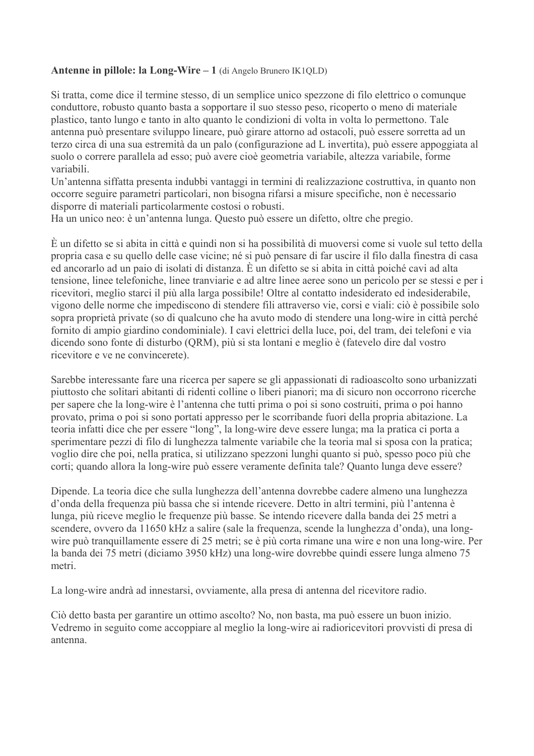# Antenne in pillole: la Long-Wire  $-1$  (di Angelo Brunero IK1QLD)

Si tratta, come dice il termine stesso, di un semplice unico spezzone di filo elettrico o comunque conduttore, robusto quanto basta a sopportare il suo stesso peso, ricoperto o meno di materiale plastico, tanto lungo e tanto in alto quanto le condizioni di volta in volta lo permettono. Tale antenna può presentare sviluppo lineare, può girare attorno ad ostacoli, può essere sorretta ad un terzo circa di una sua estremità da un palo (configurazione ad L invertita), può essere appoggiata al suolo o correre parallela ad esso; può avere cioè geometria variabile, altezza variabile, forme variabili

Un'antenna siffatta presenta indubbi vantaggi in termini di realizzazione costruttiva, in quanto non occorre seguire parametri particolari, non bisogna rifarsi a misure specifiche, non è necessario disporre di materiali particolarmente costosi o robusti.

Ha un unico neo: è un'antenna lunga. Questo può essere un difetto, oltre che pregio.

È un difetto se si abita in città e quindi non si ha possibilità di muoversi come si vuole sul tetto della propria casa e su quello delle case vicine; né si può pensare di far uscire il filo dalla finestra di casa ed ancorarlo ad un paio di isolati di distanza. È un difetto se si abita in città poiché cavi ad alta tensione, linee telefoniche, linee tranviarie e ad altre linee aeree sono un pericolo per se stessi e per i ricevitori, meglio starci il più alla larga possibile! Oltre al contatto indesiderato ed indesiderabile, vigono delle norme che impediscono di stendere fili attraverso vie, corsi e viali: ciò è possibile solo sopra proprietà private (so di qualcuno che ha avuto modo di stendere una long-wire in città perché fornito di ampio giardino condominiale). I cavi elettrici della luce, poi, del tram, dei telefoni e via dicendo sono fonte di disturbo (ORM), più si sta lontani e meglio è (fatevelo dire dal vostro ricevitore e ve ne convincerete).

Sarebbe interessante fare una ricerca per sapere se gli appassionati di radioascolto sono urbanizzati piuttosto che solitari abitanti di ridenti colline o liberi pianori; ma di sicuro non occorrono ricerche per sapere che la long-wire è l'antenna che tutti prima o poi si sono costruiti, prima o poi hanno provato, prima o poi si sono portati appresso per le scorribande fuori della propria abitazione. La teoria infatti dice che per essere "long", la long-wire deve essere lunga; ma la pratica ci porta a sperimentare pezzi di filo di lunghezza talmente variabile che la teoria mal si sposa con la pratica; voglio dire che poi, nella pratica, si utilizzano spezzoni lunghi quanto si può, spesso poco più che corti; quando allora la long-wire può essere veramente definita tale? Quanto lunga deve essere?

Dipende. La teoria dice che sulla lunghezza dell'antenna dovrebbe cadere almeno una lunghezza d'onda della frequenza più bassa che si intende ricevere. Detto in altri termini, più l'antenna è lunga, più riceve meglio le frequenze più basse. Se intendo ricevere dalla banda dei 25 metri a scendere, ovvero da 11650 kHz a salire (sale la frequenza, scende la lunghezza d'onda), una longwire può tranquillamente essere di 25 metri; se è più corta rimane una wire e non una long-wire. Per la banda dei 75 metri (diciamo 3950 kHz) una long-wire dovrebbe quindi essere lunga almeno 75 metri

La long-wire andrà ad innestarsi, ovviamente, alla presa di antenna del ricevitore radio.

Ciò detto basta per garantire un ottimo ascolto? No, non basta, ma può essere un buon inizio. Vedremo in seguito come accoppiare al meglio la long-wire ai radioricevitori provvisti di presa di antenna.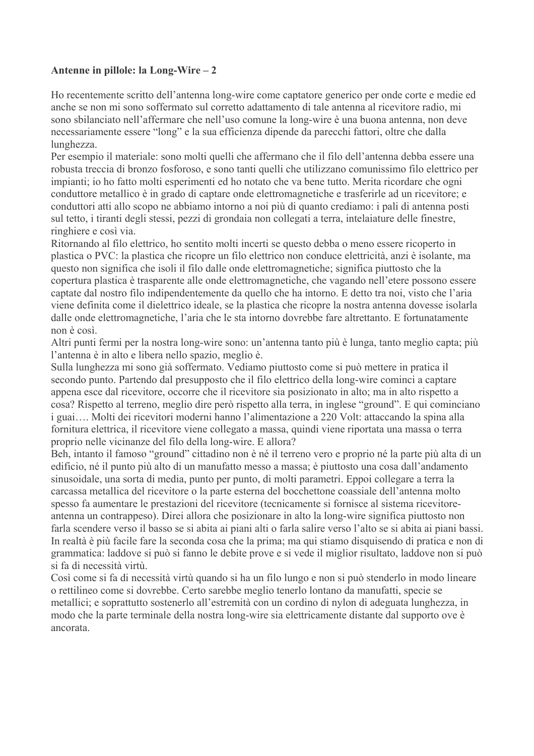Ho recentemente scritto dell'antenna long-wire come captatore generico per onde corte e medie ed anche se non mi sono soffermato sul corretto adattamento di tale antenna al ricevitore radio, mi sono sbilanciato nell'affermare che nell'uso comune la long-wire è una buona antenna, non deve necessariamente essere "long" e la sua efficienza dipende da parecchi fattori, oltre che dalla lunghezza.

Per esempio il materiale: sono molti quelli che affermano che il filo dell'antenna debba essere una robusta treccia di bronzo fosforoso, e sono tanti quelli che utilizzano comunissimo filo elettrico per impianti; io ho fatto molti esperimenti ed ho notato che va bene tutto. Merita ricordare che ogni conduttore metallico è in grado di captare onde elettromagnetiche e trasferirle ad un ricevitore: e conduttori atti allo scopo ne abbiamo intorno a noi più di quanto crediamo: i pali di antenna posti sul tetto, i tiranti degli stessi, pezzi di grondaia non collegati a terra, intelaiature delle finestre, ringhiere e così via.

Ritornando al filo elettrico, ho sentito molti incerti se questo debba o meno essere ricoperto in plastica o PVC: la plastica che ricopre un filo elettrico non conduce elettricità, anzi è isolante, ma questo non significa che isoli il filo dalle onde elettromagnetiche; significa piuttosto che la copertura plastica è trasparente alle onde elettromagnetiche, che vagando nell'etere possono essere captate dal nostro filo indipendentemente da quello che ha intorno. E detto tra noi, visto che l'aria viene definita come il dielettrico ideale, se la plastica che ricopre la nostra antenna dovesse isolarla dalle onde elettromagnetiche, l'aria che le sta intorno dovrebbe fare altrettanto. E fortunatamente non è così

Altri punti fermi per la nostra long-wire sono: un'antenna tanto più è lunga, tanto meglio capta; più l'antenna è in alto e libera nello spazio, meglio è.

Sulla lunghezza mi sono già soffermato. Vediamo piuttosto come si può mettere in pratica il secondo punto. Partendo dal presupposto che il filo elettrico della long-wire cominci a captare appena esce dal ricevitore, occorre che il ricevitore sia posizionato in alto; ma in alto rispetto a cosa? Rispetto al terreno, meglio dire però rispetto alla terra, in inglese "ground". E qui cominciano i guai.... Molti dei ricevitori moderni hanno l'alimentazione a 220 Volt: attaccando la spina alla fornitura elettrica, il ricevitore viene collegato a massa, quindi viene riportata una massa o terra proprio nelle vicinanze del filo della long-wire. E allora?

Beh, intanto il famoso "ground" cittadino non è né il terreno vero e proprio né la parte più alta di un edificio, né il punto più alto di un manufatto messo a massa; è piuttosto una cosa dall'andamento sinusoidale, una sorta di media, punto per punto, di molti parametri. Eppoi collegare a terra la carcassa metallica del ricevitore o la parte esterna del bocchettone coassiale dell'antenna molto spesso fa aumentare le prestazioni del ricevitore (tecnicamente si fornisce al sistema ricevitoreantenna un contrappeso). Direi allora che posizionare in alto la long-wire significa piuttosto non farla scendere verso il basso se si abita ai piani alti o farla salire verso l'alto se si abita ai piani bassi. In realtà è più facile fare la seconda cosa che la prima; ma qui stiamo disquisendo di pratica e non di grammatica: laddove si può si fanno le debite prove e si vede il miglior risultato, laddove non si può si fa di necessità virtù

Così come si fa di necessità virtù quando si ha un filo lungo e non si può stenderlo in modo lineare o rettilineo come si dovrebbe. Certo sarebbe meglio tenerlo lontano da manufatti, specie se metallici; e soprattutto sostenerlo all'estremità con un cordino di nylon di adeguata lunghezza, in modo che la parte terminale della nostra long-wire sia elettricamente distante dal supporto ove è ancorata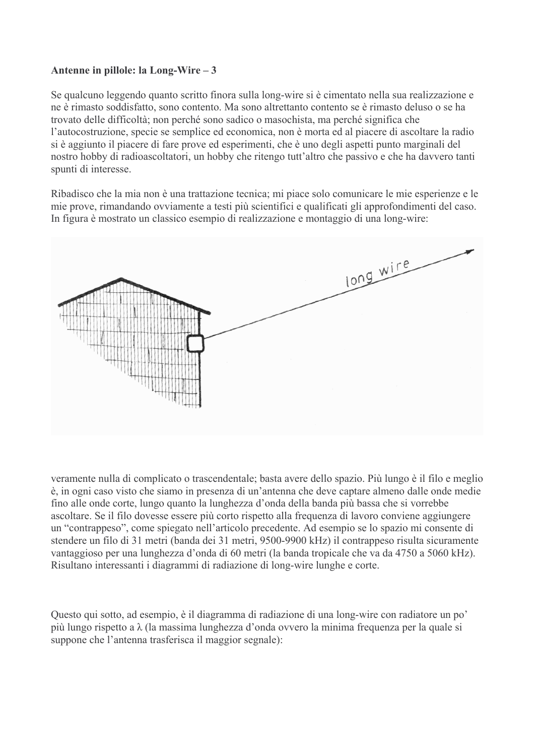Se qualcuno leggendo quanto scritto finora sulla long-wire si è cimentato nella sua realizzazione e ne è rimasto soddisfatto, sono contento. Ma sono altrettanto contento se è rimasto deluso o se ha trovato delle difficoltà; non perché sono sadico o masochista, ma perché significa che l'autocostruzione, specie se semplice ed economica, non è morta ed al piacere di ascoltare la radio si è aggiunto il piacere di fare prove ed esperimenti, che è uno degli aspetti punto marginali del nostro hobby di radioascoltatori, un hobby che ritengo tutt'altro che passivo e che ha davvero tanti spunti di interesse.

Ribadisco che la mia non è una trattazione tecnica: mi piace solo comunicare le mie esperienze e le mie prove, rimandando ovviamente a testi più scientifici e qualificati gli approfondimenti del caso. In figura è mostrato un classico esempio di realizzazione e montaggio di una long-wire:



veramente nulla di complicato o trascendentale; basta avere dello spazio. Più lungo è il filo e meglio è, in ogni caso visto che siamo in presenza di un'antenna che deve captare almeno dalle onde medie fino alle onde corte, lungo quanto la lunghezza d'onda della banda più bassa che si vorrebbe ascoltare. Se il filo dovesse essere più corto rispetto alla frequenza di lavoro conviene aggiungere un "contrappeso", come spiegato nell'articolo precedente. Ad esempio se lo spazio mi consente di stendere un filo di 31 metri (banda dei 31 metri, 9500-9900 kHz) il contrappeso risulta sicuramente vantaggioso per una lunghezza d'onda di 60 metri (la banda tropicale che va da 4750 a 5060 kHz). Risultano interessanti i diagrammi di radiazione di long-wire lunghe e corte.

Questo qui sotto, ad esempio, è il diagramma di radiazione di una long-wire con radiatore un po' più lungo rispetto a  $\lambda$  (la massima lunghezza d'onda ovvero la minima frequenza per la quale si suppone che l'antenna trasferisca il maggior segnale):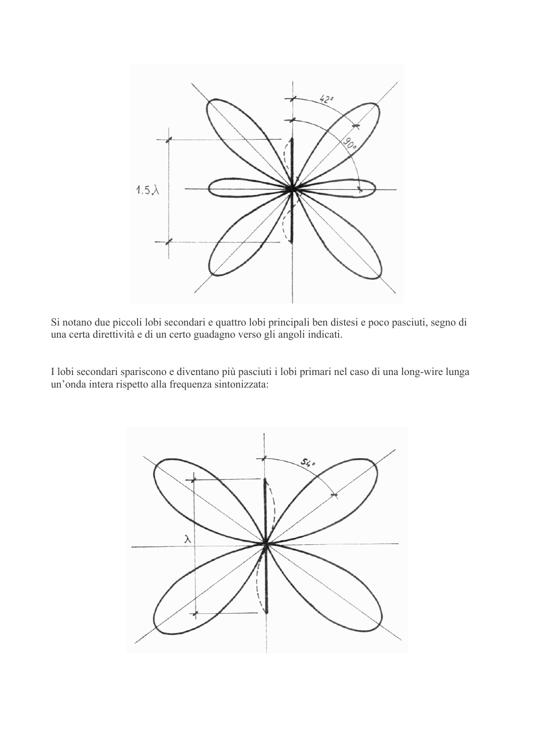

Si notano due piccoli lobi secondari e quattro lobi principali ben distesi e poco pasciuti, segno di una certa direttività e di un certo guadagno verso gli angoli indicati.

I lobi secondari spariscono e diventano più pasciuti i lobi primari nel caso di una long-wire lunga un'onda intera rispetto alla frequenza sintonizzata:

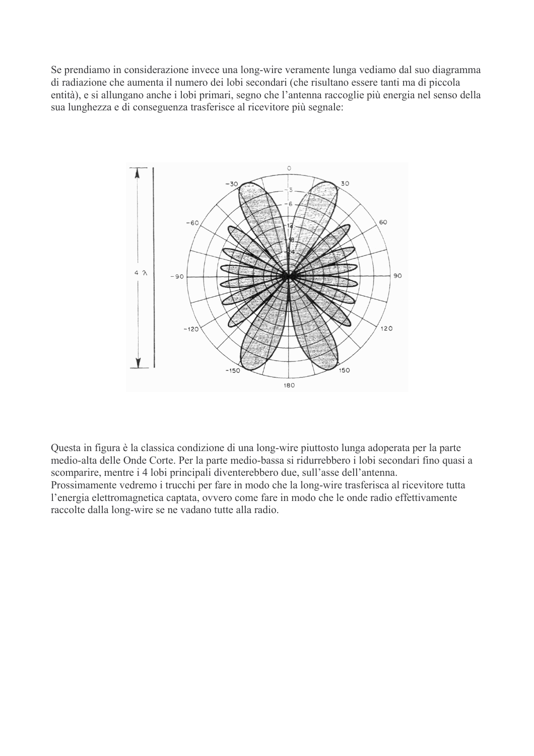Se prendiamo in considerazione invece una long-wire veramente lunga vediamo dal suo diagramma di radiazione che aumenta il numero dei lobi secondari (che risultano essere tanti ma di piccola entità), e si allungano anche i lobi primari, segno che l'antenna raccoglie più energia nel senso della sua lunghezza e di conseguenza trasferisce al ricevitore più segnale:



Questa in figura è la classica condizione di una long-wire piuttosto lunga adoperata per la parte medio-alta delle Onde Corte. Per la parte medio-bassa si ridurrebbero i lobi secondari fino quasi a scomparire, mentre i 4 lobi principali diventerebbero due, sull'asse dell'antenna. Prossimamente vedremo i trucchi per fare in modo che la long-wire trasferisca al ricevitore tutta l'energia elettromagnetica captata, ovvero come fare in modo che le onde radio effettivamente raccolte dalla long-wire se ne vadano tutte alla radio.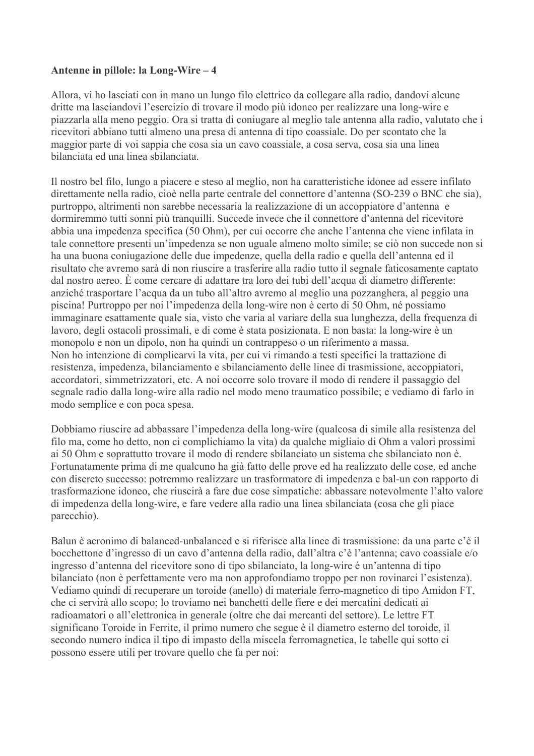Allora, vi ho lasciati con in mano un lungo filo elettrico da collegare alla radio, dandovi alcune dritte ma lasciandovi l'esercizio di trovare il modo più idoneo per realizzare una long-wire e piazzarla alla meno peggio. Ora si tratta di coniugare al meglio tale antenna alla radio, valutato che i ricevitori abbiano tutti almeno una presa di antenna di tipo coassiale. Do per scontato che la maggior parte di voi sappia che cosa sia un cavo coassiale, a cosa serva, cosa sia una linea bilanciata ed una linea sbilanciata

Il nostro bel filo, lungo a piacere e steso al meglio, non ha caratteristiche idonee ad essere infilato direttamente nella radio, cioè nella parte centrale del connettore d'antenna (SO-239 o BNC che sia). purtroppo, altrimenti non sarebbe necessaria la realizzazione di un accoppiatore d'antenna e dormiremmo tutti sonni più tranquilli. Succede invece che il connettore d'antenna del ricevitore abbia una impedenza specifica (50 Ohm), per cui occorre che anche l'antenna che viene infilata in tale connettore presenti un'impedenza se non uguale almeno molto simile; se ciò non succede non si ha una buona coniugazione delle due impedenze, quella della radio e quella dell'antenna ed il risultato che avremo sarà di non riuscire a trasferire alla radio tutto il segnale faticosamente captato dal nostro aereo. È come cercare di adattare tra loro dei tubi dell'acqua di diametro differente: anziché trasportare l'acqua da un tubo all'altro avremo al meglio una pozzanghera, al peggio una piscina! Purtroppo per noi l'impedenza della long-wire non è certo di 50 Ohm, né possiamo immaginare esattamente quale sia, visto che varia al variare della sua lunghezza, della frequenza di lavoro, degli ostacoli prossimali, e di come è stata posizionata. E non basta: la long-wire è un monopolo e non un dipolo, non ha quindi un contrappeso o un riferimento a massa. Non ho intenzione di complicarvi la vita, per cui vi rimando a testi specifici la trattazione di resistenza, impedenza, bilanciamento e sbilanciamento delle linee di trasmissione, accoppiatori, accordatori, simmetrizzatori, etc. A noi occorre solo trovare il modo di rendere il passaggio del segnale radio dalla long-wire alla radio nel modo meno traumatico possibile; e vediamo di farlo in modo semplice e con poca spesa.

Dobbiamo riuscire ad abbassare l'impedenza della long-wire (qualcosa di simile alla resistenza del filo ma, come ho detto, non ci complichiamo la vita) da qualche migliaio di Ohm a valori prossimi ai 50 Ohm e soprattutto trovare il modo di rendere sbilanciato un sistema che sbilanciato non è. Fortunatamente prima di me qualcuno ha già fatto delle prove ed ha realizzato delle cose, ed anche con discreto successo: potremmo realizzare un trasformatore di impedenza e bal-un con rapporto di trasformazione idoneo, che riuscirà a fare due cose simpatiche: abbassare notevolmente l'alto valore di impedenza della long-wire, e fare vedere alla radio una linea sbilanciata (cosa che gli piace parecchio).

Balun è acronimo di balanced-unbalanced e si riferisce alla linee di trasmissione: da una parte c'è il bocchettone d'ingresso di un cavo d'antenna della radio, dall'altra c'è l'antenna; cavo coassiale e/o ingresso d'antenna del ricevitore sono di tipo sbilanciato, la long-wire è un'antenna di tipo bilanciato (non è perfettamente vero ma non approfondiamo troppo per non rovinarci l'esistenza). Vediamo quindi di recuperare un toroide (anello) di materiale ferro-magnetico di tipo Amidon FT, che ci servirà allo scopo; lo troviamo nei banchetti delle fiere e dei mercatini dedicati ai radioamatori o all'elettronica in generale (oltre che dai mercanti del settore). Le lettre FT significano Toroide in Ferrite, il primo numero che segue è il diametro esterno del toroide, il secondo numero indica il tipo di impasto della miscela ferromagnetica, le tabelle qui sotto ci possono essere utili per trovare quello che fa per noi: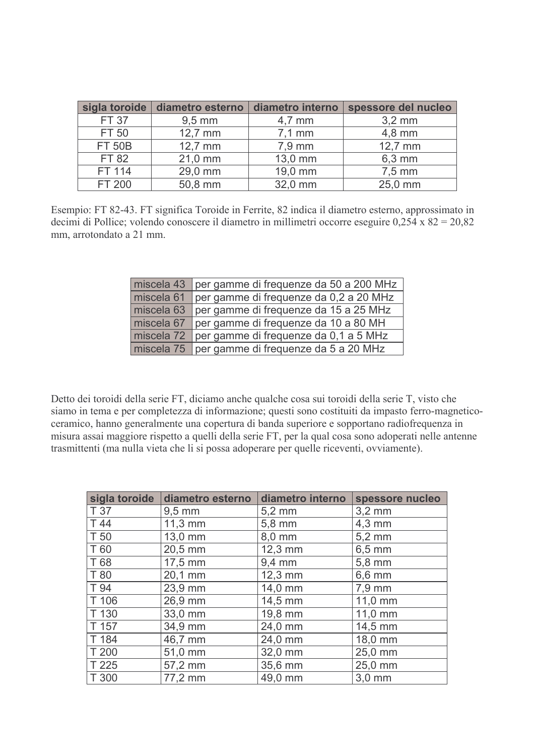| sigla toroide | diametro esterno   | diametro interno | spessore del nucleo |  |  |  |
|---------------|--------------------|------------------|---------------------|--|--|--|
| <b>FT 37</b>  | $9,5 \, \text{mm}$ | $4,7 \text{ mm}$ | $3,2 \text{ mm}$    |  |  |  |
| FT 50         | $12,7$ mm          | $7,1$ mm         | $4,8$ mm            |  |  |  |
| <b>FT 50B</b> | 12,7 mm            | 7,9 mm           | 12,7 mm             |  |  |  |
| <b>FT 82</b>  | 21,0 mm            | 13,0 mm          | 6,3 mm              |  |  |  |
| FT 114        | 29,0 mm            | 19,0 mm          | $7,5$ mm            |  |  |  |
| FT 200        | 50,8 mm            | 32,0 mm          | 25,0 mm             |  |  |  |

Esempio: FT 82-43. FT significa Toroide in Ferrite, 82 indica il diametro esterno, approssimato in decimi di Pollice; volendo conoscere il diametro in millimetri occorre eseguire  $0.254 \times 82 = 20.82$ mm, arrotondato a 21 mm.

| miscela 43 | per gamme di frequenze da 50 a 200 MHz |
|------------|----------------------------------------|
| miscela 61 | per gamme di frequenze da 0,2 a 20 MHz |
| miscela 63 | per gamme di frequenze da 15 a 25 MHz  |
| miscela 67 | per gamme di frequenze da 10 a 80 MH   |
| miscela 72 | per gamme di frequenze da 0,1 a 5 MHz  |
| miscela 75 | per gamme di frequenze da 5 a 20 MHz   |

Detto dei toroidi della serie FT, diciamo anche qualche cosa sui toroidi della serie T, visto che siamo in tema e per completezza di informazione; questi sono costituiti da impasto ferro-magneticoceramico, hanno generalmente una copertura di banda superiore e sopportano radiofrequenza in misura assai maggiore rispetto a quelli della serie FT, per la qual cosa sono adoperati nelle antenne trasmittenti (ma nulla vieta che li si possa adoperare per quelle riceventi, ovviamente).

| sigla toroide | diametro esterno | diametro interno   | spessore nucleo  |
|---------------|------------------|--------------------|------------------|
| T 37          | $9,5 \text{ mm}$ | $5,2 \, \text{mm}$ | $3,2$ mm         |
| T 44          | 11,3 mm          | 5,8 mm             | $4,3$ mm         |
| T 50          | 13,0 mm          | 8,0 mm             | $5,2 \text{ mm}$ |
| T 60          | 20,5 mm          | 12,3 mm            | $6,5$ mm         |
| T 68          | 17,5 mm          | $9,4$ mm           | 5,8 mm           |
| T 80          | 20,1 mm          | 12,3 mm            | $6,6$ mm         |
| T 94          | 23,9 mm          | 14,0 mm            | 7,9 mm           |
| T 106         | 26,9 mm          | 14,5 mm            | 11,0 mm          |
| T 130         | 33,0 mm          | 19,8 mm            | 11,0 mm          |
| T 157         | 34,9 mm          | 24,0 mm            | 14,5 mm          |
| T 184         | 46,7 mm          | 24,0 mm            | 18,0 mm          |
| T 200         | 51,0 mm          | 32,0 mm            | 25,0 mm          |
| T 225         | 57,2 mm          | 35,6 mm            | 25,0 mm          |
| T 300         | 77,2 mm          | 49,0 mm            | 3,0 mm           |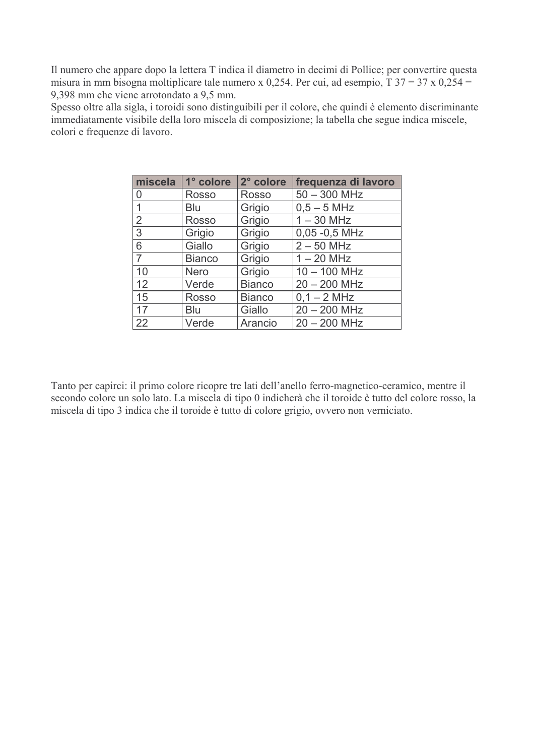Il numero che appare dopo la lettera T indica il diametro in decimi di Pollice; per convertire questa misura in mm bisogna moltiplicare tale numero x 0,254. Per cui, ad esempio,  $T$  37 = 37 x 0,254 = 9,398 mm che viene arrotondato a 9,5 mm.

Spesso oltre alla sigla, i toroidi sono distinguibili per il colore, che quindi è elemento discriminante immediatamente visibile della loro miscela di composizione; la tabella che segue indica miscele, colori e frequenze di lavoro.

| miscela        | 1° colore     | 2° colore     | frequenza di lavoro |
|----------------|---------------|---------------|---------------------|
| 0              | <b>Rosso</b>  | <b>Rosso</b>  | $50 - 300$ MHz      |
| 1              | Blu           | Grigio        | $0,5 - 5$ MHz       |
| $\overline{2}$ | <b>Rosso</b>  | Grigio        | $1 - 30$ MHz        |
| 3              | Grigio        | Grigio        | $0,05 -0,5$ MHz     |
| 6              | Giallo        | Grigio        | $2 - 50$ MHz        |
| $\overline{7}$ | <b>Bianco</b> | Grigio        | $1 - 20$ MHz        |
| 10             | <b>Nero</b>   | Grigio        | $10 - 100$ MHz      |
| 12             | Verde         | <b>Bianco</b> | $20 - 200$ MHz      |
| 15             | <b>Rosso</b>  | <b>Bianco</b> | $0,1 - 2$ MHz       |
| 17             | <b>Blu</b>    | Giallo        | $20 - 200$ MHz      |
| 22             | Verde         | Arancio       | $20 - 200$ MHz      |

Tanto per capirci: il primo colore ricopre tre lati dell'anello ferro-magnetico-ceramico, mentre il secondo colore un solo lato. La miscela di tipo 0 indicherà che il toroide è tutto del colore rosso, la miscela di tipo 3 indica che il toroide è tutto di colore grigio, ovvero non verniciato.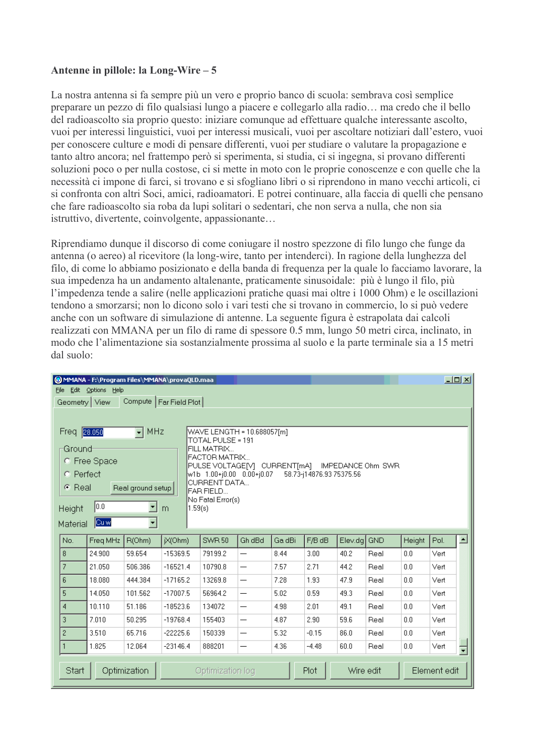La nostra antenna si fa sempre più un vero e proprio banco di scuola: sembrava così semplice preparare un pezzo di filo qualsiasi lungo a piacere e collegarlo alla radio... ma credo che il bello del radioascolto sia proprio questo: iniziare comunque ad effettuare qualche interessante ascolto, vuoi per interessi linguistici, vuoi per interessi musicali, vuoi per ascoltare notiziari dall'estero, vuoi per conoscere culture e modi di pensare differenti, vuoi per studiare o valutare la propagazione e tanto altro ancora; nel frattempo però si sperimenta, si studia, ci si ingegna, si provano differenti soluzioni poco o per nulla costose, ci si mette in moto con le proprie conoscenze e con quelle che la necessità ci impone di farci, si trovano e si sfogliano libri o si riprendono in mano vecchi articoli, ci si confronta con altri Soci, amici, radioamatori. E potrei continuare, alla faccia di quelli che pensano che fare radioascolto sia roba da lupi solitari o sedentari, che non serva a nulla, che non sia istruttivo, divertente, coinvolgente, appassionante...

Riprendiamo dunque il discorso di come coniugare il nostro spezzone di filo lungo che funge da antenna (o aereo) al ricevitore (la long-wire, tanto per intenderci). In ragione della lunghezza del filo, di come lo abbiamo posizionato e della banda di freguenza per la quale lo facciamo lavorare, la sua impedenza ha un andamento altalenante, praticamente sinusoidale: più è lungo il filo, più l'impedenza tende a salire (nelle applicazioni pratiche quasi mai oltre i 1000 Ohm) e le oscillazioni tendono a smorzarsi; non lo dicono solo i vari testi che si trovano in commercio, lo si può vedere anche con un software di simulazione di antenne. La seguente figura è estrapolata dai calcoli realizzati con MMANA per un filo di rame di spessore 0.5 mm, lungo 50 metri circa, inclinato, in modo che l'alimentazione sia sostanzialmente prossima al suolo e la parte terminale sia a 15 metri dal suolo:

|                                                             | $\Box$ D $\Box$<br>MMANA - F:\Program Files\MMANA\provaQLD.maa |                   |                          |                                                          |                          |        |                          |           |            |        |              |                  |
|-------------------------------------------------------------|----------------------------------------------------------------|-------------------|--------------------------|----------------------------------------------------------|--------------------------|--------|--------------------------|-----------|------------|--------|--------------|------------------|
| File                                                        | Edit Options Help                                              |                   |                          |                                                          |                          |        |                          |           |            |        |              |                  |
|                                                             | Geometry   View                                                |                   | Compute   Far Field Plot |                                                          |                          |        |                          |           |            |        |              |                  |
|                                                             |                                                                |                   |                          |                                                          |                          |        |                          |           |            |        |              |                  |
| Freq 28.050<br>$\sqrt{M}$ MHz<br>WAVE LENGTH = 10.688057[m] |                                                                |                   |                          |                                                          |                          |        |                          |           |            |        |              |                  |
|                                                             |                                                                |                   |                          | TOTAL PULSE = 191                                        |                          |        |                          |           |            |        |              |                  |
| -Ground <sup>.</sup>                                        |                                                                |                   |                          | FILL MATRIX<br>FACTOR MATRIX                             |                          |        |                          |           |            |        |              |                  |
| C Free Space                                                |                                                                |                   |                          | PULSE VOLTAGE[V] CURRENT[mA]<br><b>IMPEDANCE Ohm SWR</b> |                          |        |                          |           |            |        |              |                  |
| C Perfect                                                   |                                                                |                   |                          | /w1b 1.00+j0.00 0.00+j0.07<br><b>CURRENT DATA</b>        |                          |        | 58.73-j14876.93 75375.56 |           |            |        |              |                  |
| ⊙ Real                                                      |                                                                | Real ground setup |                          | FAR FIELD                                                |                          |        |                          |           |            |        |              |                  |
|                                                             | 0.0                                                            |                   |                          | No Fatal Error(s)                                        |                          |        |                          |           |            |        |              |                  |
| <b>Height</b>                                               |                                                                |                   | 1.59(s)<br>m             |                                                          |                          |        |                          |           |            |        |              |                  |
| Material                                                    | Cu w                                                           |                   |                          |                                                          |                          |        |                          |           |            |        |              |                  |
| No.                                                         | Freq MHz                                                       | R(Ohm)            | jX(Ohm)                  | <b>SWR 50</b>                                            | Gh dBd                   | Ga dBi | F/B dB                   | Elev.dg   | <b>GND</b> | Height | Pol.         | $\blacktriangle$ |
| 8                                                           | 24.900                                                         | 59.654            | $-15369.5$               | 79199.2                                                  | $\overline{\phantom{0}}$ | 8.44   | 3.00                     | 40.2      | Real       | 0.0    | Vert         |                  |
| $\overline{7}$                                              | 21.050                                                         | 506.386           | $-16521.4$               | 10790.8                                                  | $\overline{\phantom{0}}$ | 7.57   | 2.71                     | 44.2      | Real       | 0.0    | Vert         |                  |
| 6                                                           | 18.080                                                         | 444.384           | $-17165.2$               | 13269.8                                                  | $\overline{\phantom{0}}$ | 7.28   | 1.93                     | 47.9      | Real       | 0.0    | Vert         |                  |
| 5                                                           | 14.050                                                         | 101.562           | $-17007.5$               | 56964.2                                                  | —                        | 5.02   | 0.59                     | 49.3      | Real       | 0.0    | Vert         |                  |
| $\overline{4}$                                              | 10.110                                                         | 51.186            | $-18523.6$               | 134072                                                   | $\overline{\phantom{0}}$ | 4.98   | 2.01                     | 49.1      | Real       | 0.0    | Vert         |                  |
| 3                                                           | 7.010                                                          | 50.295            | $-19768.4$               | 155403                                                   | —                        | 4.87   | 2.90                     | 59.6      | Real       | 0.0    | Vert         |                  |
| $\overline{c}$                                              | 3.510                                                          | 65.716            | $-22225.6$               | 150339                                                   | —                        | 5.32   | $-0.15$                  | 86.0      | Real       | 0.0    | Vert         |                  |
|                                                             | 1.825                                                          | 12.064            | $-23146.4$               | 888201                                                   | —                        | 4.36   | $-4.48$                  | 60.0      | Real       | 0.0    | Vert         | ╤                |
|                                                             |                                                                |                   |                          |                                                          |                          |        |                          |           |            |        |              |                  |
| Start                                                       |                                                                | Optimization      |                          | Optimization log                                         |                          |        | Plot                     | Wire edit |            |        | Element edit |                  |
|                                                             |                                                                |                   |                          |                                                          |                          |        |                          |           |            |        |              |                  |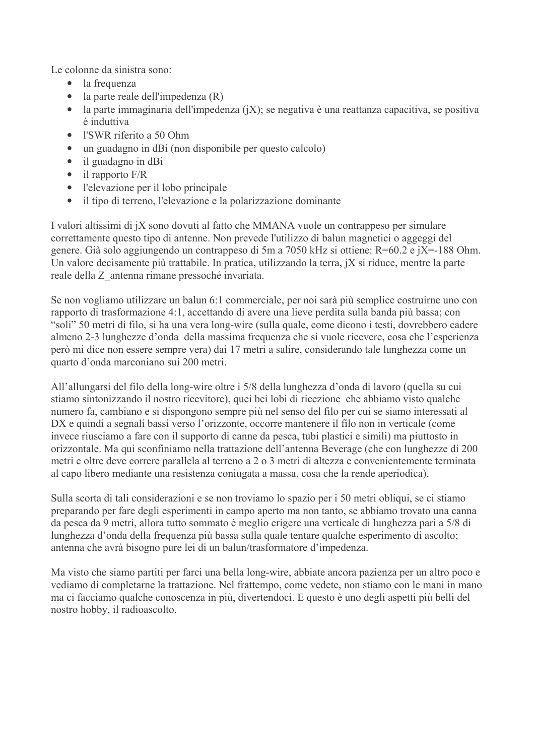Le colonne da sinistra sono:

- la frequenza  $\bullet$
- $\bullet$  la parte reale dell'impedenza (R)
- la parte immaginaria dell'impedenza  $(iX)$ ; se negativa è una reattanza capacitiva, se positiva è induttiva
- · l'SWR riferito a 50 Ohm
- un guadagno in dBi (non disponibile per questo calcolo)  $\bullet$
- $\bullet$ il guadagno in dBi
- $\bullet$  il rapporto  $F/R$
- l'elevazione per il lobo principale
- il tipo di terreno, l'elevazione e la polarizzazione dominante  $\bullet$

I valori altissimi di jX sono dovuti al fatto che MMANA vuole un contrappeso per simulare correttamente questo tipo di antenne. Non prevede l'utilizzo di balun magnetici o aggeggi del genere. Già solo aggiungendo un contrappeso di 5m a 7050 kHz si ottiene: R=60.2 e jX=-188 Ohm. Un valore decisamente più trattabile. In pratica, utilizzando la terra, jX si riduce, mentre la parte reale della Z antenna rimane pressoché invariata.

Se non vogliamo utilizzare un balun 6:1 commerciale, per noi sarà più semplice costruirne uno con rapporto di trasformazione 4:1, accettando di avere una lieve perdita sulla banda più bassa; con "soli" 50 metri di filo, si ha una vera long-wire (sulla quale, come dicono i testi, dovrebbero cadere almeno 2-3 lunghezze d'onda della massima frequenza che si vuole ricevere, cosa che l'esperienza però mi dice non essere sempre vera) dai 17 metri a salire, considerando tale lunghezza come un quarto d'onda marconiano sui 200 metri.

All'allungarsi del filo della long-wire oltre i 5/8 della lunghezza d'onda di lavoro (quella su cui stiamo sintonizzando il nostro ricevitore), quei bei lobi di ricezione che abbiamo visto qualche numero fa, cambiano e si dispongono sempre più nel senso del filo per cui se siamo interessati al DX e quindi a segnali bassi verso l'orizzonte, occorre mantenere il filo non in verticale (come invece riusciamo a fare con il supporto di canne da pesca, tubi plastici e simili) ma piuttosto in orizzontale. Ma qui sconfiniamo nella trattazione dell'antenna Beverage (che con lunghezze di 200 metri e oltre deve correre parallela al terreno a 2 o 3 metri di altezza e convenientemente terminata al capo libero mediante una resistenza coniugata a massa, cosa che la rende aperiodica).

Sulla scorta di tali considerazioni e se non troviamo lo spazio per i 50 metri obliqui, se ci stiamo preparando per fare degli esperimenti in campo aperto ma non tanto, se abbiamo trovato una canna da pesca da 9 metri, allora tutto sommato è meglio erigere una verticale di lunghezza pari a 5/8 di lunghezza d'onda della frequenza più bassa sulla quale tentare qualche esperimento di ascolto; antenna che avrà bisogno pure lei di un balun/trasformatore d'impedenza.

Ma visto che siamo partiti per farci una bella long-wire, abbiate ancora pazienza per un altro poco e vediamo di completarne la trattazione. Nel frattempo, come vedete, non stiamo con le mani in mano ma ci facciamo qualche conoscenza in più, divertendoci. E questo è uno degli aspetti più belli del nostro hobby, il radioascolto.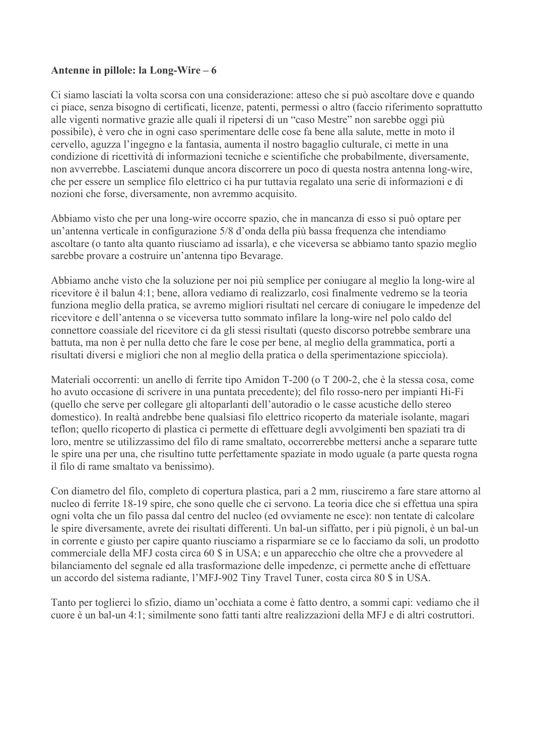Ci siamo lasciati la volta scorsa con una considerazione: atteso che si può ascoltare dove e quando ci piace, senza bisogno di certificati, licenze, patenti, permessi o altro (faccio riferimento soprattutto alle vigenti normative grazie alle quali il ripetersi di un "caso Mestre" non sarebbe oggi più possibile), è vero che in ogni caso sperimentare delle cose fa bene alla salute, mette in moto il cervello, aguzza l'ingegno e la fantasia, aumenta il nostro bagaglio culturale, ci mette in una condizione di ricettività di informazioni tecniche e scientifiche che probabilmente, diversamente, non avverrebbe. Lasciatemi dunque ancora discorrere un poco di questa nostra antenna long-wire, che per essere un semplice filo elettrico ci ha pur tuttavia regalato una serie di informazioni e di nozioni che forse, diversamente, non avremmo acquisito.

Abbiamo visto che per una long-wire occorre spazio, che in mancanza di esso si può optare per un'antenna verticale in configurazione 5/8 d'onda della più bassa frequenza che intendiamo ascoltare (o tanto alta quanto riusciamo ad issarla), e che viceversa se abbiamo tanto spazio meglio sarebbe provare a costruire un'antenna tipo Bevarage.

Abbiamo anche visto che la soluzione per noi più semplice per coniugare al meglio la long-wire al ricevitore è il balun 4:1; bene, allora vediamo di realizzarlo, così finalmente vedremo se la teoria funziona meglio della pratica, se avremo migliori risultati nel cercare di coniugare le impedenze del ricevitore e dell'antenna o se viceversa tutto sommato infilare la long-wire nel polo caldo del connettore coassiale del ricevitore ci da gli stessi risultati (questo discorso potrebbe sembrare una battuta, ma non è per nulla detto che fare le cose per bene, al meglio della grammatica, porti a risultati diversi e migliori che non al meglio della pratica o della sperimentazione spicciola).

Materiali occorrenti: un anello di ferrite tipo Amidon T-200 (o T 200-2, che è la stessa cosa, come ho avuto occasione di scrivere in una puntata precedente); del filo rosso-nero per impianti Hi-Fi (quello che serve per collegare gli altoparlanti dell'autoradio o le casse acustiche dello stereo domestico). In realtà andrebbe bene qualsiasi filo elettrico ricoperto da materiale isolante, magari teflon; quello ricoperto di plastica ci permette di effettuare degli avvolgimenti ben spaziati tra di loro, mentre se utilizzassimo del filo di rame smaltato, occorrerebbe mettersi anche a separare tutte le spire una per una, che risultino tutte perfettamente spaziate in modo uguale (a parte questa rogna il filo di rame smaltato va benissimo).

Con diametro del filo, completo di copertura plastica, pari a 2 mm, riusciremo a fare stare attorno al nucleo di ferrite 18-19 spire, che sono quelle che ci servono. La teoria dice che si effettua una spira ogni volta che un filo passa dal centro del nucleo (ed ovviamente ne esce): non tentate di calcolare le spire diversamente, avrete dei risultati differenti. Un bal-un siffatto, per i più pignoli, è un bal-un in corrente e giusto per capire quanto riusciamo a risparmiare se ce lo facciamo da soli, un prodotto commerciale della MFJ costa circa 60 \$ in USA; e un apparecchio che oltre che a provvedere al bilanciamento del segnale ed alla trasformazione delle impedenze, ci permette anche di effettuare un accordo del sistema radiante, l'MFJ-902 Tiny Travel Tuner, costa circa 80 \$ in USA.

Tanto per toglierci lo sfizio, diamo un'occhiata a come è fatto dentro, a sommi capi: vediamo che il cuore è un bal-un 4:1; similmente sono fatti tanti altre realizzazioni della MFJ e di altri costruttori.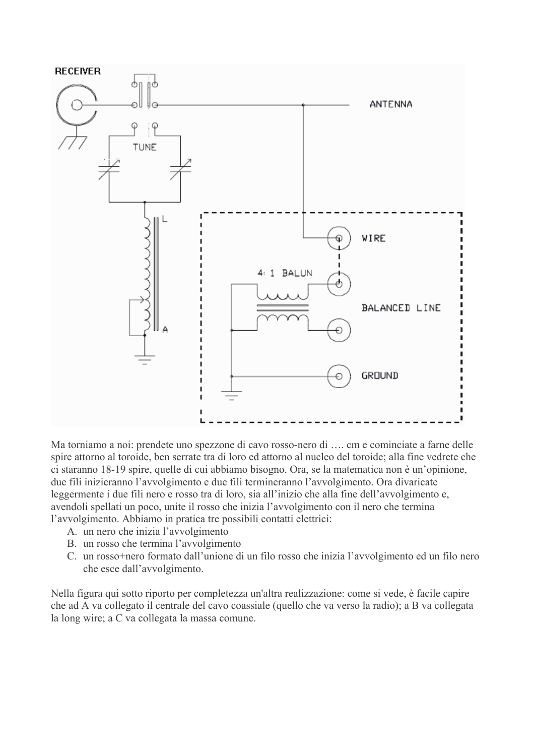

Ma torniamo a noi: prendete uno spezzone di cavo rosso-nero di .... cm e cominciate a farne delle spire attorno al toroide, ben serrate tra di loro ed attorno al nucleo del toroide; alla fine vedrete che ci staranno 18-19 spire, quelle di cui abbiamo bisogno. Ora, se la matematica non è un'opinione, due fili inizieranno l'avvolgimento e due fili termineranno l'avvolgimento. Ora divaricate leggermente i due fili nero e rosso tra di loro, sia all'inizio che alla fine dell'avvolgimento e, avendoli spellati un poco, unite il rosso che inizia l'avvolgimento con il nero che termina l'avvolgimento. Abbiamo in pratica tre possibili contatti elettrici:

- A. un nero che inizia l'avvolgimento
- B. un rosso che termina l'avvolgimento
- C. un rosso+nero formato dall'unione di un filo rosso che inizia l'avvolgimento ed un filo nero che esce dall'avvolgimento.

Nella figura qui sotto riporto per completezza un'altra realizzazione: come si vede, è facile capire che ad A va collegato il centrale del cavo coassiale (quello che va verso la radio); a B va collegata la long wire; a C va collegata la massa comune.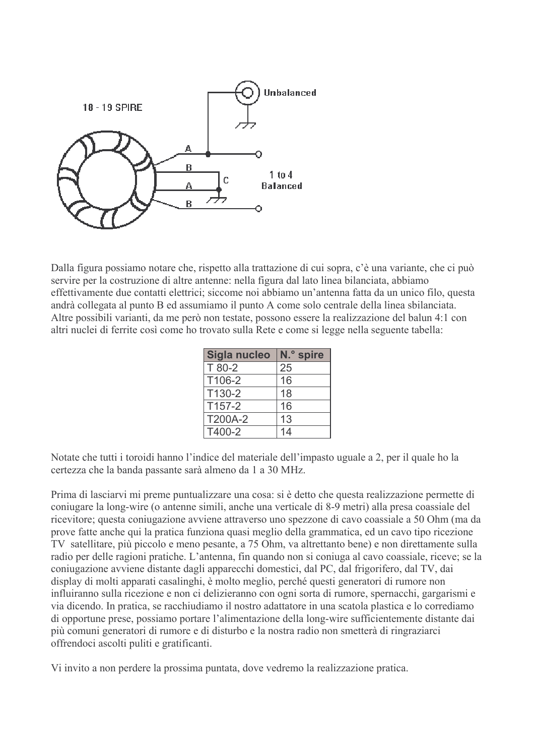

Dalla figura possiamo notare che, rispetto alla trattazione di cui sopra, c'è una variante, che ci può servire per la costruzione di altre antenne: nella figura dal lato linea bilanciata, abbiamo effettivamente due contatti elettrici; siccome noi abbiamo un'antenna fatta da un unico filo, questa andrà collegata al punto B ed assumiamo il punto A come solo centrale della linea sbilanciata. Altre possibili varianti, da me però non testate, possono essere la realizzazione del balun 4:1 con altri nuclei di ferrite così come ho trovato sulla Rete e come si legge nella seguente tabella:

| Sigla nucleo | N.º spire |
|--------------|-----------|
| T 80-2       | 25        |
| T106-2       | 16        |
| T130-2       | 18        |
| T157-2       | 16        |
| T200A-2      | 13        |
| T400-2       | 14        |

Notate che tutti i toroidi hanno l'indice del materiale dell'impasto uguale a 2, per il quale ho la certezza che la banda passante sarà almeno da 1 a 30 MHz.

Prima di lasciarvi mi preme puntualizzare una cosa: si è detto che questa realizzazione permette di coniugare la long-wire (o antenne simili, anche una verticale di 8-9 metri) alla presa coassiale del ricevitore; questa conjugazione avviene attraverso uno spezzone di cavo coassiale a 50 Ohm (ma da prove fatte anche qui la pratica funziona quasi meglio della grammatica, ed un cavo tipo ricezione TV satellitare, più piccolo e meno pesante, a 75 Ohm, va altrettanto bene) e non direttamente sulla radio per delle ragioni pratiche. L'antenna, fin quando non si coniuga al cavo coassiale, riceve; se la coniugazione avviene distante dagli apparecchi domestici, dal PC, dal frigorifero, dal TV, dai display di molti apparati casalinghi, è molto meglio, perché questi generatori di rumore non influiranno sulla ricezione e non ci delizieranno con ogni sorta di rumore, spernacchi, gargarismi e via dicendo. In pratica, se racchiudiamo il nostro adattatore in una scatola plastica e lo corrediamo di opportune prese, possiamo portare l'alimentazione della long-wire sufficientemente distante dai più comuni generatori di rumore e di disturbo e la nostra radio non smetterà di ringraziarci offrendoci ascolti puliti e gratificanti.

Vi invito a non perdere la prossima puntata, dove vedremo la realizzazione pratica.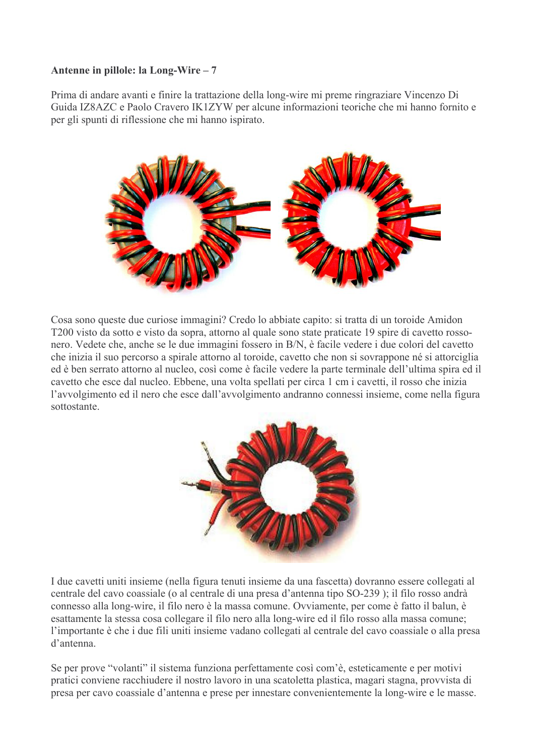Prima di andare avanti e finire la trattazione della long-wire mi preme ringraziare Vincenzo Di Guida IZ8AZC e Paolo Cravero IK1ZYW per alcune informazioni teoriche che mi hanno fornito e per gli spunti di riflessione che mi hanno ispirato.



Cosa sono queste due curiose immagini? Credo lo abbiate capito: si tratta di un toroide Amidon T200 visto da sotto e visto da sopra, attorno al quale sono state praticate 19 spire di cavetto rossonero. Vedete che, anche se le due immagini fossero in B/N, è facile vedere i due colori del cavetto che inizia il suo percorso a spirale attorno al toroide, cavetto che non si sovrappone né si attorciglia ed è ben serrato attorno al nucleo, così come è facile vedere la parte terminale dell'ultima spira ed il cavetto che esce dal nucleo. Ebbene, una volta spellati per circa 1 cm i cavetti, il rosso che inizia l'avvolgimento ed il nero che esce dall'avvolgimento andranno connessi insieme, come nella figura sottostante



I due cavetti uniti insieme (nella figura tenuti insieme da una fascetta) dovranno essere collegati al centrale del cavo coassiale (o al centrale di una presa d'antenna tipo SO-239); il filo rosso andrà connesso alla long-wire, il filo nero è la massa comune. Ovviamente, per come è fatto il balun, è esattamente la stessa cosa collegare il filo nero alla long-wire ed il filo rosso alla massa comune; l'importante è che i due fili uniti insieme vadano collegati al centrale del cavo coassiale o alla presa d'antenna

Se per prove "volanti" il sistema funziona perfettamente così com'è, esteticamente e per motivi pratici conviene racchiudere il nostro lavoro in una scatoletta plastica, magari stagna, provvista di presa per cavo coassiale d'antenna e prese per innestare convenientemente la long-wire e le masse.